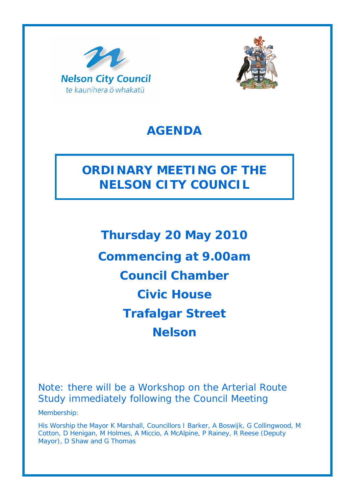



## **AGENDA**

# **ORDINARY MEETING OF THE NELSON CITY COUNCIL**

**Thursday 20 May 2010 Commencing at 9.00am Council Chamber Civic House Trafalgar Street Nelson** 

Note: there will be a Workshop on the Arterial Route Study immediately following the Council Meeting

Membership:

His Worship the Mayor K Marshall, Councillors I Barker, A Boswijk, G Collingwood, M Cotton, D Henigan, M Holmes, A Miccio, A McAlpine, P Rainey, R Reese (Deputy Mayor), D Shaw and G Thomas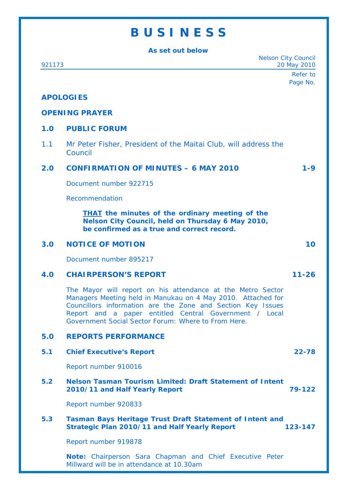### **B U S I N E S S**

**As set out below**  Nelson City Council 921173 20 May 2010 Refer to Page No. **APOLOGIES OPENING PRAYER 1.0 PUBLIC FORUM**  1.1 Mr Peter Fisher, President of the Maitai Club, will address the Council **2.0 CONFIRMATION OF MINUTES – 6 MAY 2010 1-9**  Document number 922715 Recommendation *THAT the minutes of the ordinary meeting of the Nelson City Council, held on Thursday 6 May 2010, be confirmed as a true and correct record.*  **3.0 NOTICE OF MOTION 10**  Document number 895217 **4.0 CHAIRPERSON'S REPORT 11-26**  The Mayor will report on his attendance at the Metro Sector Managers Meeting held in Manukau on 4 May 2010. Attached for Councillors information are the Zone and Section Key Issues Report and a paper entitled Central Government / Local Government Social Sector Forum: Where to From Here. **5.0 REPORTS PERFORMANCE 5.1 Chief Executive's Report 22-78**  Report number 910016 **5.2 Nelson Tasman Tourism Limited: Draft Statement of Intent 2010/11 and Half Yearly Report 79-122**  Report number 920833 **5.3 Tasman Bays Heritage Trust Draft Statement of Intent and Strategic Plan 2010/11 and Half Yearly Report 123-147**  Report number 919878 **Note:** Chairperson Sara Chapman and Chief Executive Peter Millward will be in attendance at 10.30am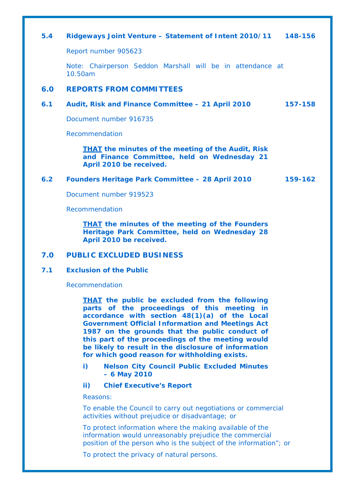#### **5.4 Ridgeways Joint Venture – Statement of Intent 2010/11 148-156**

Report number 905623

Note: Chairperson Seddon Marshall will be in attendance at 10.50am

#### **6.0 REPORTS FROM COMMITTEES**

#### **6.1 Audit, Risk and Finance Committee – 21 April 2010 157-158**

Document number 916735

Recommendation

*THAT the minutes of the meeting of the Audit, Risk and Finance Committee, held on Wednesday 21 April 2010 be received.* 

#### **6.2 Founders Heritage Park Committee – 28 April 2010 159-162**

Document number 919523

Recommendation

*THAT the minutes of the meeting of the Founders Heritage Park Committee, held on Wednesday 28 April 2010 be received.* 

#### **7.0 PUBLIC EXCLUDED BUSINESS**

#### **7.1 Exclusion of the Public**

Recommendation

*THAT the public be excluded from the following parts of the proceedings of this meeting in accordance with section 48(1)(a) of the Local Government Official Information and Meetings Act 1987 on the grounds that the public conduct of this part of the proceedings of the meeting would be likely to result in the disclosure of information for which good reason for withholding exists.* 

- *i) Nelson City Council Public Excluded Minutes – 6 May 2010*
- *ii) Chief Executive's Report*

*Reasons:* 

*To enable the Council to carry out negotiations or commercial activities without prejudice or disadvantage; or* 

*To protect information where the making available of the information would unreasonably prejudice the commercial position of the person who is the subject of the information"; or* 

*To protect the privacy of natural persons.*